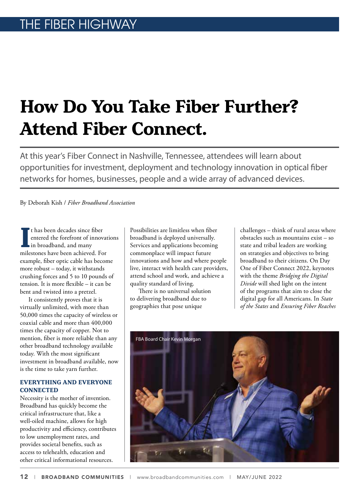## **How Do You Take Fiber Further? Attend Fiber Connect.**

At this year's Fiber Connect in Nashville, Tennessee, attendees will learn about opportunities for investment, deployment and technology innovation in optical fiber networks for homes, businesses, people and a wide array of advanced devices.

By Deborah Kish / *Fiber Broadband Association*

I<sup>I</sup> thas been decades since fiber<br>
entered the forefront of innovat<br>
in broadband, and many<br>
milestones have been achieved. For t has been decades since fiber entered the forefront of innovations in broadband, and many example, fiber optic cable has become more robust – today, it withstands crushing forces and 5 to 10 pounds of tension. It is more flexible – it can be bent and twisted into a pretzel.

It consistently proves that it is virtually unlimited, with more than 50,000 times the capacity of wireless or coaxial cable and more than 400,000 times the capacity of copper. Not to mention, fiber is more reliable than any other broadband technology available today. With the most significant investment in broadband available, now is the time to take yarn further.

## **EVERYTHING AND EVERYONE CONNECTED**

Necessity is the mother of invention. Broadband has quickly become the critical infrastructure that, like a well-oiled machine, allows for high productivity and efficiency, contributes to low unemployment rates, and provides societal benefits, such as access to telehealth, education and other critical informational resources.

Possibilities are limitless when fiber broadband is deployed universally. Services and applications becoming commonplace will impact future innovations and how and where people live, interact with health care providers, attend school and work, and achieve a quality standard of living.

There is no universal solution to delivering broadband due to geographies that pose unique

challenges – think of rural areas where obstacles such as mountains exist – so state and tribal leaders are working on strategies and objectives to bring broadband to their citizens. On Day One of Fiber Connect 2022, keynotes with the theme *Bridging the Digital Divide* will shed light on the intent of the programs that aim to close the digital gap for all Americans. In *State of the States* and *Ensuring Fiber Reaches*